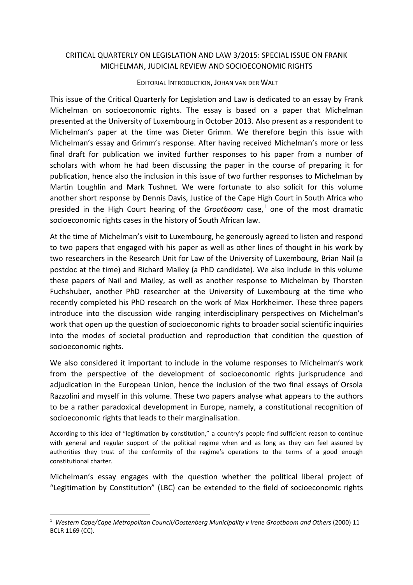## CRITICAL QUARTERLY ON LEGISLATION AND LAW 3/2015: SPECIAL ISSUE ON FRANK MICHELMAN, JUDICIAL REVIEW AND SOCIOECONOMIC RIGHTS

## EDITORIAL INTRODUCTION, JOHAN VAN DER WALT

This issue of the Critical Quarterly for Legislation and Law is dedicated to an essay by Frank Michelman on socioeconomic rights. The essay is based on a paper that Michelman presented at the University of Luxembourg in October 2013. Also present as a respondent to Michelman's paper at the time was Dieter Grimm. We therefore begin this issue with Michelman's essay and Grimm's response. After having received Michelman's more or less final draft for publication we invited further responses to his paper from a number of scholars with whom he had been discussing the paper in the course of preparing it for publication, hence also the inclusion in this issue of two further responses to Michelman by Martin Loughlin and Mark Tushnet. We were fortunate to also solicit for this volume another short response by Dennis Davis, Justice of the Cape High Court in South Africa who presided in the High Court hearing of the *Grootboom* case,<sup>1</sup> one of the most dramatic socioeconomic rights cases in the history of South African law.

At the time of Michelman's visit to Luxembourg, he generously agreed to listen and respond to two papers that engaged with his paper as well as other lines of thought in his work by two researchers in the Research Unit for Law of the University of Luxembourg, Brian Nail (a postdoc at the time) and Richard Mailey (a PhD candidate). We also include in this volume these papers of Nail and Mailey, as well as another response to Michelman by Thorsten Fuchshuber, another PhD researcher at the University of Luxembourg at the time who recently completed his PhD research on the work of Max Horkheimer. These three papers introduce into the discussion wide ranging interdisciplinary perspectives on Michelman's work that open up the question of socioeconomic rights to broader social scientific inquiries into the modes of societal production and reproduction that condition the question of socioeconomic rights.

We also considered it important to include in the volume responses to Michelman's work from the perspective of the development of socioeconomic rights jurisprudence and adjudication in the European Union, hence the inclusion of the two final essays of Orsola Razzolini and myself in this volume. These two papers analyse what appears to the authors to be a rather paradoxical development in Europe, namely, a constitutional recognition of socioeconomic rights that leads to their marginalisation.

According to this idea of "legitimation by constitution," a country's people find sufficient reason to continue with general and regular support of the political regime when and as long as they can feel assured by authorities they trust of the conformity of the regime's operations to the terms of a good enough constitutional charter.

Michelman's essay engages with the question whether the political liberal project of "Legitimation by Constitution" (LBC) can be extended to the field of socioeconomic rights

<sup>&</sup>lt;sup>1</sup> Western Cape/Cape Metropolitan Council/Oostenberg Municipality v Irene Grootboom and Others (2000) 11 BCLR 1169 (CC).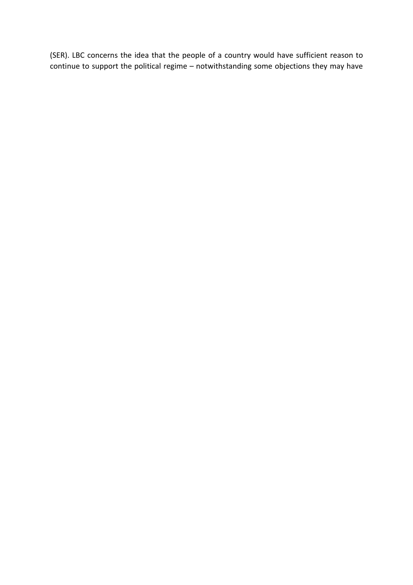(SER). LBC concerns the idea that the people of a country would have sufficient reason to continue to support the political regime – notwithstanding some objections they may have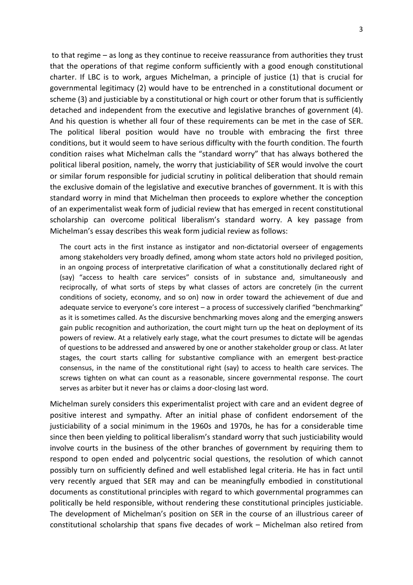to that regime – as long as they continue to receive reassurance from authorities they trust that the operations of that regime conform sufficiently with a good enough constitutional charter. If LBC is to work, argues Michelman, a principle of justice (1) that is crucial for governmental legitimacy (2) would have to be entrenched in a constitutional document or scheme (3) and justiciable by a constitutional or high court or other forum that is sufficiently detached and independent from the executive and legislative branches of government (4). And his question is whether all four of these requirements can be met in the case of SER. The political liberal position would have no trouble with embracing the first three conditions, but it would seem to have serious difficulty with the fourth condition. The fourth condition raises what Michelman calls the "standard worry" that has always bothered the political liberal position, namely, the worry that justiciability of SER would involve the court or similar forum responsible for judicial scrutiny in political deliberation that should remain the exclusive domain of the legislative and executive branches of government. It is with this standard worry in mind that Michelman then proceeds to explore whether the conception of an experimentalist weak form of judicial review that has emerged in recent constitutional scholarship can overcome political liberalism's standard worry. A key passage from Michelman's essay describes this weak form judicial review as follows:

The court acts in the first instance as instigator and non-dictatorial overseer of engagements among stakeholders very broadly defined, among whom state actors hold no privileged position, in an ongoing process of interpretative clarification of what a constitutionally declared right of (say) "access to health care services" consists of in substance and, simultaneously and reciprocally, of what sorts of steps by what classes of actors are concretely (in the current conditions of society, economy, and so on) now in order toward the achievement of due and adequate service to everyone's core interest – a process of successively clarified "benchmarking" as it is sometimes called. As the discursive benchmarking moves along and the emerging answers gain public recognition and authorization, the court might turn up the heat on deployment of its powers of review. At a relatively early stage, what the court presumes to dictate will be agendas of questions to be addressed and answered by one or another stakeholder group or class. At later stages, the court starts calling for substantive compliance with an emergent best-practice consensus, in the name of the constitutional right (say) to access to health care services. The screws tighten on what can count as a reasonable, sincere governmental response. The court serves as arbiter but it never has or claims a door-closing last word.

Michelman surely considers this experimentalist project with care and an evident degree of positive interest and sympathy. After an initial phase of confident endorsement of the justiciability of a social minimum in the 1960s and 1970s, he has for a considerable time since then been yielding to political liberalism's standard worry that such justiciability would involve courts in the business of the other branches of government by requiring them to respond to open ended and polycentric social questions, the resolution of which cannot possibly turn on sufficiently defined and well established legal criteria. He has in fact until very recently argued that SER may and can be meaningfully embodied in constitutional documents as constitutional principles with regard to which governmental programmes can politically be held responsible, without rendering these constitutional principles justiciable. The development of Michelman's position on SER in the course of an illustrious career of constitutional scholarship that spans five decades of work – Michelman also retired from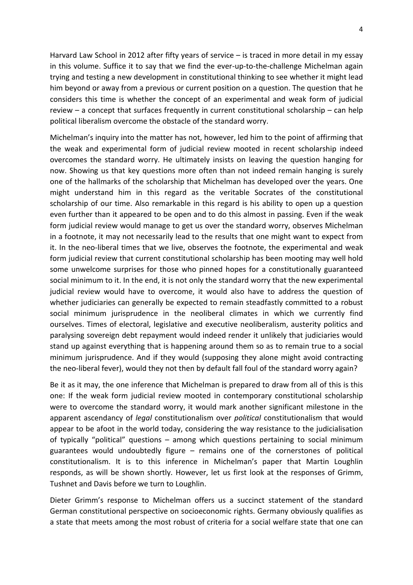Harvard Law School in 2012 after fifty years of service – is traced in more detail in my essay in this volume. Suffice it to say that we find the ever-up-to-the-challenge Michelman again trying and testing a new development in constitutional thinking to see whether it might lead him beyond or away from a previous or current position on a question. The question that he considers this time is whether the concept of an experimental and weak form of judicial review – a concept that surfaces frequently in current constitutional scholarship – can help political liberalism overcome the obstacle of the standard worry.

Michelman's inquiry into the matter has not, however, led him to the point of affirming that the weak and experimental form of judicial review mooted in recent scholarship indeed overcomes the standard worry. He ultimately insists on leaving the question hanging for now. Showing us that key questions more often than not indeed remain hanging is surely one of the hallmarks of the scholarship that Michelman has developed over the years. One might understand him in this regard as the veritable Socrates of the constitutional scholarship of our time. Also remarkable in this regard is his ability to open up a question even further than it appeared to be open and to do this almost in passing. Even if the weak form judicial review would manage to get us over the standard worry, observes Michelman in a footnote, it may not necessarily lead to the results that one might want to expect from it. In the neo-liberal times that we live, observes the footnote, the experimental and weak form judicial review that current constitutional scholarship has been mooting may well hold some unwelcome surprises for those who pinned hopes for a constitutionally guaranteed social minimum to it. In the end, it is not only the standard worry that the new experimental judicial review would have to overcome, it would also have to address the question of whether judiciaries can generally be expected to remain steadfastly committed to a robust social minimum jurisprudence in the neoliberal climates in which we currently find ourselves. Times of electoral, legislative and executive neoliberalism, austerity politics and paralysing sovereign debt repayment would indeed render it unlikely that judiciaries would stand up against everything that is happening around them so as to remain true to a social minimum jurisprudence. And if they would (supposing they alone might avoid contracting the neo-liberal fever), would they not then by default fall foul of the standard worry again?

Be it as it may, the one inference that Michelman is prepared to draw from all of this is this one: If the weak form judicial review mooted in contemporary constitutional scholarship were to overcome the standard worry, it would mark another significant milestone in the apparent ascendancy of *legal* constitutionalism over *political* constitutionalism that would appear to be afoot in the world today, considering the way resistance to the judicialisation of typically "political" questions – among which questions pertaining to social minimum guarantees would undoubtedly figure – remains one of the cornerstones of political constitutionalism. It is to this inference in Michelman's paper that Martin Loughlin responds, as will be shown shortly. However, let us first look at the responses of Grimm, Tushnet and Davis before we turn to Loughlin.

Dieter Grimm's response to Michelman offers us a succinct statement of the standard German constitutional perspective on socioeconomic rights. Germany obviously qualifies as a state that meets among the most robust of criteria for a social welfare state that one can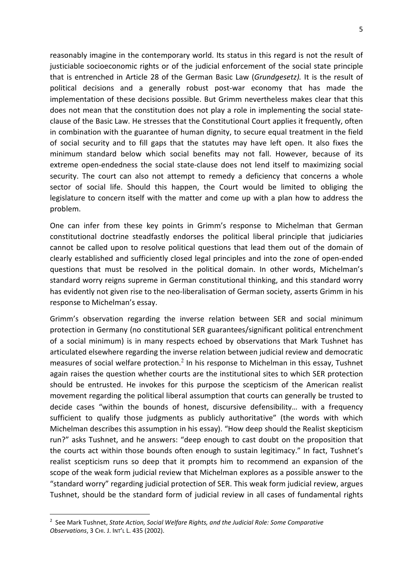reasonably imagine in the contemporary world. Its status in this regard is not the result of justiciable socioeconomic rights or of the judicial enforcement of the social state principle that is entrenched in Article 28 of the German Basic Law (*Grundgesetz).* It is the result of political decisions and a generally robust post-war economy that has made the implementation of these decisions possible. But Grimm nevertheless makes clear that this does not mean that the constitution does not play a role in implementing the social stateclause of the Basic Law. He stresses that the Constitutional Court applies it frequently, often in combination with the guarantee of human dignity, to secure equal treatment in the field of social security and to fill gaps that the statutes may have left open. It also fixes the minimum standard below which social benefits may not fall. However, because of its extreme open-endedness the social state-clause does not lend itself to maximizing social security. The court can also not attempt to remedy a deficiency that concerns a whole sector of social life. Should this happen, the Court would be limited to obliging the legislature to concern itself with the matter and come up with a plan how to address the problem.

One can infer from these key points in Grimm's response to Michelman that German constitutional doctrine steadfastly endorses the political liberal principle that judiciaries cannot be called upon to resolve political questions that lead them out of the domain of clearly established and sufficiently closed legal principles and into the zone of open-ended questions that must be resolved in the political domain. In other words, Michelman's standard worry reigns supreme in German constitutional thinking, and this standard worry has evidently not given rise to the neo-liberalisation of German society, asserts Grimm in his response to Michelman's essay.

Grimm's observation regarding the inverse relation between SER and social minimum protection in Germany (no constitutional SER guarantees/significant political entrenchment of a social minimum) is in many respects echoed by observations that Mark Tushnet has articulated elsewhere regarding the inverse relation between judicial review and democratic measures of social welfare protection.<sup>2</sup> In his response to Michelman in this essay, Tushnet again raises the question whether courts are the institutional sites to which SER protection should be entrusted. He invokes for this purpose the scepticism of the American realist movement regarding the political liberal assumption that courts can generally be trusted to decide cases "within the bounds of honest, discursive defensibility… with a frequency sufficient to qualify those judgments as publicly authoritative" (the words with which Michelman describes this assumption in his essay). "How deep should the Realist skepticism run?" asks Tushnet, and he answers: "deep enough to cast doubt on the proposition that the courts act within those bounds often enough to sustain legitimacy." In fact, Tushnet's realist scepticism runs so deep that it prompts him to recommend an expansion of the scope of the weak form judicial review that Michelman explores as a possible answer to the "standard worry" regarding judicial protection of SER. This weak form judicial review, argues Tushnet, should be the standard form of judicial review in all cases of fundamental rights

 <sup>2</sup> See Mark Tushnet, *State Action, Social Welfare Rights, and the Judicial Role: Some Comparative Observations*, 3 CHI. J. INT'L L. 435 (2002).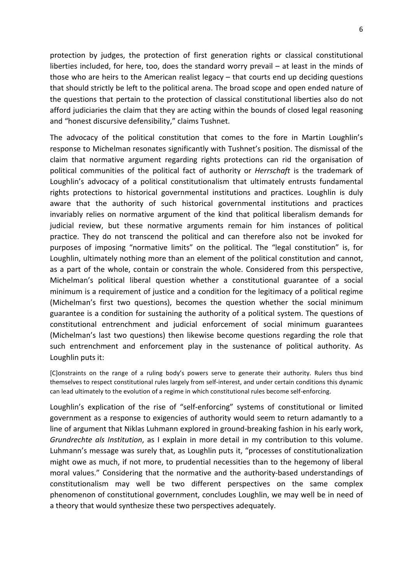protection by judges, the protection of first generation rights or classical constitutional liberties included, for here, too, does the standard worry prevail – at least in the minds of those who are heirs to the American realist legacy – that courts end up deciding questions that should strictly be left to the political arena. The broad scope and open ended nature of the questions that pertain to the protection of classical constitutional liberties also do not afford judiciaries the claim that they are acting within the bounds of closed legal reasoning and "honest discursive defensibility," claims Tushnet.

The advocacy of the political constitution that comes to the fore in Martin Loughlin's response to Michelman resonates significantly with Tushnet's position. The dismissal of the claim that normative argument regarding rights protections can rid the organisation of political communities of the political fact of authority or *Herrschaft* is the trademark of Loughlin's advocacy of a political constitutionalism that ultimately entrusts fundamental rights protections to historical governmental institutions and practices. Loughlin is duly aware that the authority of such historical governmental institutions and practices invariably relies on normative argument of the kind that political liberalism demands for judicial review, but these normative arguments remain for him instances of political practice. They do not transcend the political and can therefore also not be invoked for purposes of imposing "normative limits" on the political. The "legal constitution" is, for Loughlin, ultimately nothing more than an element of the political constitution and cannot, as a part of the whole, contain or constrain the whole. Considered from this perspective, Michelman's political liberal question whether a constitutional guarantee of a social minimum is a requirement of justice and a condition for the legitimacy of a political regime (Michelman's first two questions), becomes the question whether the social minimum guarantee is a condition for sustaining the authority of a political system. The questions of constitutional entrenchment and judicial enforcement of social minimum guarantees (Michelman's last two questions) then likewise become questions regarding the role that such entrenchment and enforcement play in the sustenance of political authority. As Loughlin puts it:

[C]onstraints on the range of a ruling body's powers serve to generate their authority. Rulers thus bind themselves to respect constitutional rules largely from self-interest, and under certain conditions this dynamic can lead ultimately to the evolution of a regime in which constitutional rules become self-enforcing.

Loughlin's explication of the rise of "self-enforcing" systems of constitutional or limited government as a response to exigencies of authority would seem to return adamantly to a line of argument that Niklas Luhmann explored in ground-breaking fashion in his early work, *Grundrechte als Institution*, as I explain in more detail in my contribution to this volume. Luhmann's message was surely that, as Loughlin puts it, "processes of constitutionalization might owe as much, if not more, to prudential necessities than to the hegemony of liberal moral values." Considering that the normative and the authority-based understandings of constitutionalism may well be two different perspectives on the same complex phenomenon of constitutional government, concludes Loughlin, we may well be in need of a theory that would synthesize these two perspectives adequately.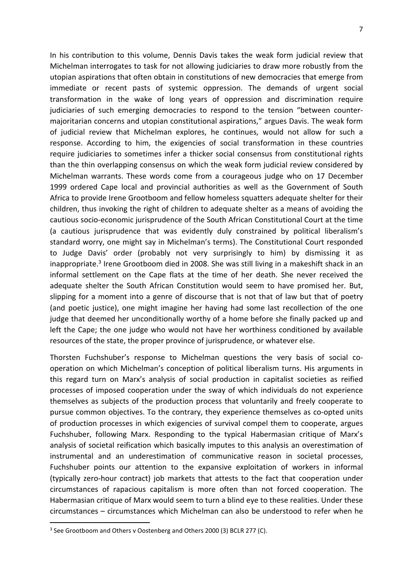In his contribution to this volume, Dennis Davis takes the weak form judicial review that Michelman interrogates to task for not allowing judiciaries to draw more robustly from the utopian aspirations that often obtain in constitutions of new democracies that emerge from immediate or recent pasts of systemic oppression. The demands of urgent social transformation in the wake of long years of oppression and discrimination require judiciaries of such emerging democracies to respond to the tension "between countermajoritarian concerns and utopian constitutional aspirations," argues Davis. The weak form of judicial review that Michelman explores, he continues, would not allow for such a response. According to him, the exigencies of social transformation in these countries require judiciaries to sometimes infer a thicker social consensus from constitutional rights than the thin overlapping consensus on which the weak form judicial review considered by Michelman warrants. These words come from a courageous judge who on 17 December 1999 ordered Cape local and provincial authorities as well as the Government of South Africa to provide Irene Grootboom and fellow homeless squatters adequate shelter for their children, thus invoking the right of children to adequate shelter as a means of avoiding the cautious socio-economic jurisprudence of the South African Constitutional Court at the time (a cautious jurisprudence that was evidently duly constrained by political liberalism's standard worry, one might say in Michelman's terms). The Constitutional Court responded to Judge Davis' order (probably not very surprisingly to him) by dismissing it as inappropriate. <sup>3</sup> Irene Grootboom died in 2008. She was still living in a makeshift shack in an informal settlement on the Cape flats at the time of her death. She never received the adequate shelter the South African Constitution would seem to have promised her. But, slipping for a moment into a genre of discourse that is not that of law but that of poetry (and poetic justice), one might imagine her having had some last recollection of the one judge that deemed her unconditionally worthy of a home before she finally packed up and left the Cape; the one judge who would not have her worthiness conditioned by available resources of the state, the proper province of jurisprudence, or whatever else.

Thorsten Fuchshuber's response to Michelman questions the very basis of social cooperation on which Michelman's conception of political liberalism turns. His arguments in this regard turn on Marx's analysis of social production in capitalist societies as reified processes of imposed cooperation under the sway of which individuals do not experience themselves as subjects of the production process that voluntarily and freely cooperate to pursue common objectives. To the contrary, they experience themselves as co-opted units of production processes in which exigencies of survival compel them to cooperate, argues Fuchshuber, following Marx. Responding to the typical Habermasian critique of Marx's analysis of societal reification which basically imputes to this analysis an overestimation of instrumental and an underestimation of communicative reason in societal processes, Fuchshuber points our attention to the expansive exploitation of workers in informal (typically zero-hour contract) job markets that attests to the fact that cooperation under circumstances of rapacious capitalism is more often than not forced cooperation. The Habermasian critique of Marx would seem to turn a blind eye to these realities. Under these circumstances – circumstances which Michelman can also be understood to refer when he

<sup>&</sup>lt;sup>3</sup> See Grootboom and Others v Oostenberg and Others 2000 (3) BCLR 277 (C).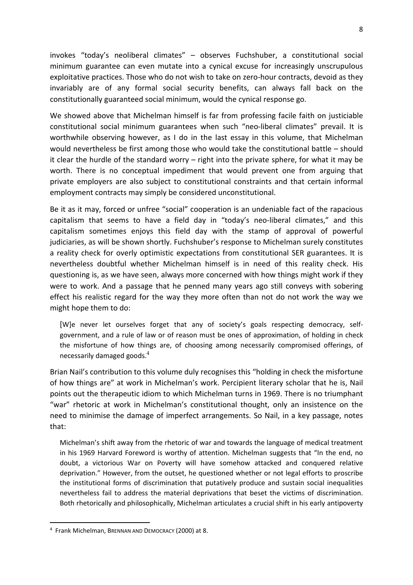invokes "today's neoliberal climates" – observes Fuchshuber, a constitutional social minimum guarantee can even mutate into a cynical excuse for increasingly unscrupulous exploitative practices. Those who do not wish to take on zero-hour contracts, devoid as they invariably are of any formal social security benefits, can always fall back on the constitutionally guaranteed social minimum, would the cynical response go.

We showed above that Michelman himself is far from professing facile faith on justiciable constitutional social minimum guarantees when such "neo-liberal climates" prevail. It is worthwhile observing however, as I do in the last essay in this volume, that Michelman would nevertheless be first among those who would take the constitutional battle – should it clear the hurdle of the standard worry – right into the private sphere, for what it may be worth. There is no conceptual impediment that would prevent one from arguing that private employers are also subject to constitutional constraints and that certain informal employment contracts may simply be considered unconstitutional.

Be it as it may, forced or unfree "social" cooperation is an undeniable fact of the rapacious capitalism that seems to have a field day in "today's neo-liberal climates," and this capitalism sometimes enjoys this field day with the stamp of approval of powerful judiciaries, as will be shown shortly. Fuchshuber's response to Michelman surely constitutes a reality check for overly optimistic expectations from constitutional SER guarantees. It is nevertheless doubtful whether Michelman himself is in need of this reality check. His questioning is, as we have seen, always more concerned with how things might work if they were to work. And a passage that he penned many years ago still conveys with sobering effect his realistic regard for the way they more often than not do not work the way we might hope them to do:

[W]e never let ourselves forget that any of society's goals respecting democracy, selfgovernment, and a rule of law or of reason must be ones of approximation, of holding in check the misfortune of how things are, of choosing among necessarily compromised offerings, of necessarily damaged goods.<sup>4</sup>

Brian Nail's contribution to this volume duly recognises this "holding in check the misfortune of how things are" at work in Michelman's work. Percipient literary scholar that he is, Nail points out the therapeutic idiom to which Michelman turns in 1969. There is no triumphant "war" rhetoric at work in Michelman's constitutional thought, only an insistence on the need to minimise the damage of imperfect arrangements. So Nail, in a key passage, notes that:

Michelman's shift away from the rhetoric of war and towards the language of medical treatment in his 1969 Harvard Foreword is worthy of attention. Michelman suggests that "In the end, no doubt, a victorious War on Poverty will have somehow attacked and conquered relative deprivation." However, from the outset, he questioned whether or not legal efforts to proscribe the institutional forms of discrimination that putatively produce and sustain social inequalities nevertheless fail to address the material deprivations that beset the victims of discrimination. Both rhetorically and philosophically, Michelman articulates a crucial shift in his early antipoverty

 <sup>4</sup> Frank Michelman, BRENNAN AND DEMOCRACY (2000) at 8.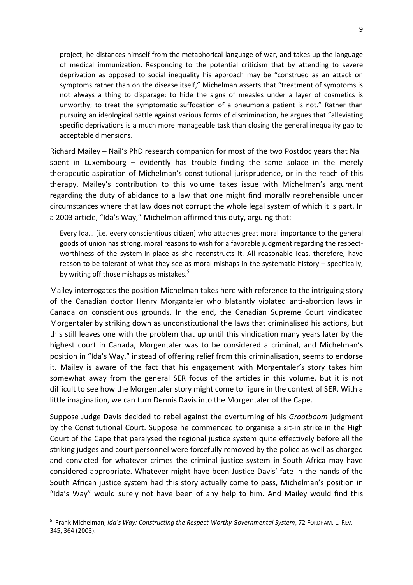project; he distances himself from the metaphorical language of war, and takes up the language of medical immunization. Responding to the potential criticism that by attending to severe deprivation as opposed to social inequality his approach may be "construed as an attack on symptoms rather than on the disease itself," Michelman asserts that "treatment of symptoms is not always a thing to disparage: to hide the signs of measles under a layer of cosmetics is unworthy; to treat the symptomatic suffocation of a pneumonia patient is not." Rather than pursuing an ideological battle against various forms of discrimination, he argues that "alleviating specific deprivations is a much more manageable task than closing the general inequality gap to acceptable dimensions.

Richard Mailey – Nail's PhD research companion for most of the two Postdoc years that Nail spent in Luxembourg – evidently has trouble finding the same solace in the merely therapeutic aspiration of Michelman's constitutional jurisprudence, or in the reach of this therapy. Mailey's contribution to this volume takes issue with Michelman's argument regarding the duty of abidance to a law that one might find morally reprehensible under circumstances where that law does not corrupt the whole legal system of which it is part. In a 2003 article, "Ida's Way," Michelman affirmed this duty, arguing that:

Every Ida… [i.e. every conscientious citizen] who attaches great moral importance to the general goods of union has strong, moral reasons to wish for a favorable judgment regarding the respectworthiness of the system-in-place as she reconstructs it. All reasonable Idas, therefore, have reason to be tolerant of what they see as moral mishaps in the systematic history – specifically, by writing off those mishaps as mistakes.<sup>5</sup>

Mailey interrogates the position Michelman takes here with reference to the intriguing story of the Canadian doctor Henry Morgantaler who blatantly violated anti-abortion laws in Canada on conscientious grounds. In the end, the Canadian Supreme Court vindicated Morgentaler by striking down as unconstitutional the laws that criminalised his actions, but this still leaves one with the problem that up until this vindication many years later by the highest court in Canada, Morgentaler was to be considered a criminal, and Michelman's position in "Ida's Way," instead of offering relief from this criminalisation, seems to endorse it. Mailey is aware of the fact that his engagement with Morgentaler's story takes him somewhat away from the general SER focus of the articles in this volume, but it is not difficult to see how the Morgentaler story might come to figure in the context of SER. With a little imagination, we can turn Dennis Davis into the Morgentaler of the Cape.

Suppose Judge Davis decided to rebel against the overturning of his *Grootboom* judgment by the Constitutional Court. Suppose he commenced to organise a sit-in strike in the High Court of the Cape that paralysed the regional justice system quite effectively before all the striking judges and court personnel were forcefully removed by the police as well as charged and convicted for whatever crimes the criminal justice system in South Africa may have considered appropriate. Whatever might have been Justice Davis' fate in the hands of the South African justice system had this story actually come to pass, Michelman's position in "Ida's Way" would surely not have been of any help to him. And Mailey would find this

 <sup>5</sup> Frank Michelman, *Ida's Way: Constructing the Respect-Worthy Governmental System*, 72 FORDHAM. L. REV. 345, 364 (2003).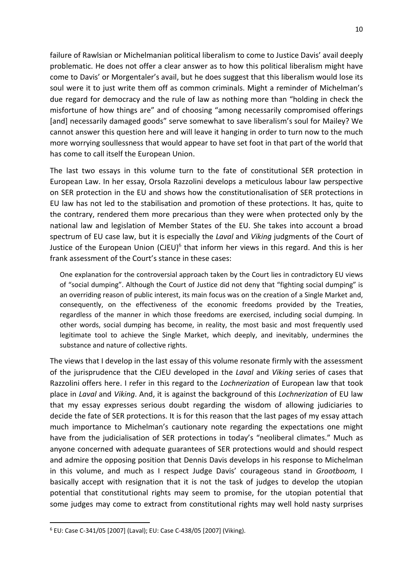failure of Rawlsian or Michelmanian political liberalism to come to Justice Davis' avail deeply problematic. He does not offer a clear answer as to how this political liberalism might have come to Davis' or Morgentaler's avail, but he does suggest that this liberalism would lose its soul were it to just write them off as common criminals. Might a reminder of Michelman's due regard for democracy and the rule of law as nothing more than "holding in check the misfortune of how things are" and of choosing "among necessarily compromised offerings [and] necessarily damaged goods" serve somewhat to save liberalism's soul for Mailey? We cannot answer this question here and will leave it hanging in order to turn now to the much more worrying soullessness that would appear to have set foot in that part of the world that has come to call itself the European Union.

The last two essays in this volume turn to the fate of constitutional SER protection in European Law. In her essay, Orsola Razzolini develops a meticulous labour law perspective on SER protection in the EU and shows how the constitutionalisation of SER protections in EU law has not led to the stabilisation and promotion of these protections. It has, quite to the contrary, rendered them more precarious than they were when protected only by the national law and legislation of Member States of the EU. She takes into account a broad spectrum of EU case law, but it is especially the *Laval* and *Viking* judgments of the Court of Justice of the European Union (CJEU)<sup>6</sup> that inform her views in this regard. And this is her frank assessment of the Court's stance in these cases:

One explanation for the controversial approach taken by the Court lies in contradictory EU views of "social dumping". Although the Court of Justice did not deny that "fighting social dumping" is an overriding reason of public interest, its main focus was on the creation of a Single Market and, consequently, on the effectiveness of the economic freedoms provided by the Treaties, regardless of the manner in which those freedoms are exercised, including social dumping. In other words, social dumping has become, in reality, the most basic and most frequently used legitimate tool to achieve the Single Market, which deeply, and inevitably, undermines the substance and nature of collective rights.

The views that I develop in the last essay of this volume resonate firmly with the assessment of the jurisprudence that the CJEU developed in the *Laval* and *Viking* series of cases that Razzolini offers here. I refer in this regard to the *Lochnerization* of European law that took place in *Laval* and *Viking*. And, it is against the background of this *Lochnerization* of EU law that my essay expresses serious doubt regarding the wisdom of allowing judiciaries to decide the fate of SER protections. It is for this reason that the last pages of my essay attach much importance to Michelman's cautionary note regarding the expectations one might have from the judicialisation of SER protections in today's "neoliberal climates." Much as anyone concerned with adequate guarantees of SER protections would and should respect and admire the opposing position that Dennis Davis develops in his response to Michelman in this volume, and much as I respect Judge Davis' courageous stand in *Grootboom,* I basically accept with resignation that it is not the task of judges to develop the utopian potential that constitutional rights may seem to promise, for the utopian potential that some judges may come to extract from constitutional rights may well hold nasty surprises

 <sup>6</sup> EU: Case C-341/05 [2007] (Laval); EU: Case C-438/05 [2007] (Viking).